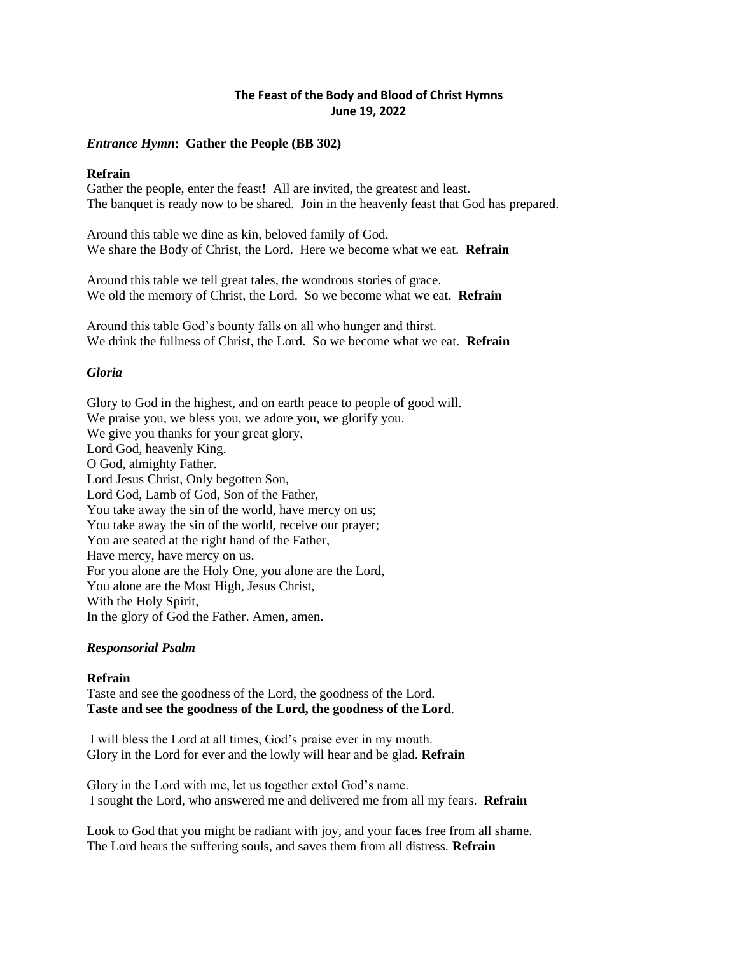# **The Feast of the Body and Blood of Christ Hymns June 19, 2022**

## *Entrance Hymn***: Gather the People (BB 302)**

### **Refrain**

Gather the people, enter the feast! All are invited, the greatest and least. The banquet is ready now to be shared. Join in the heavenly feast that God has prepared.

Around this table we dine as kin, beloved family of God. We share the Body of Christ, the Lord. Here we become what we eat. **Refrain**

Around this table we tell great tales, the wondrous stories of grace. We old the memory of Christ, the Lord. So we become what we eat. **Refrain**

Around this table God's bounty falls on all who hunger and thirst. We drink the fullness of Christ, the Lord. So we become what we eat. **Refrain**

## *Gloria*

Glory to God in the highest, and on earth peace to people of good will. We praise you, we bless you, we adore you, we glorify you. We give you thanks for your great glory, Lord God, heavenly King. O God, almighty Father. Lord Jesus Christ, Only begotten Son, Lord God, Lamb of God, Son of the Father, You take away the sin of the world, have mercy on us; You take away the sin of the world, receive our prayer; You are seated at the right hand of the Father, Have mercy, have mercy on us. For you alone are the Holy One, you alone are the Lord, You alone are the Most High, Jesus Christ, With the Holy Spirit, In the glory of God the Father. Amen, amen.

## *Responsorial Psalm*

#### **Refrain**

Taste and see the goodness of the Lord, the goodness of the Lord. **Taste and see the goodness of the Lord, the goodness of the Lord**.

I will bless the Lord at all times, God's praise ever in my mouth. Glory in the Lord for ever and the lowly will hear and be glad. **Refrain**

Glory in the Lord with me, let us together extol God's name. I sought the Lord, who answered me and delivered me from all my fears. **Refrain**

Look to God that you might be radiant with joy, and your faces free from all shame. The Lord hears the suffering souls, and saves them from all distress. **Refrain**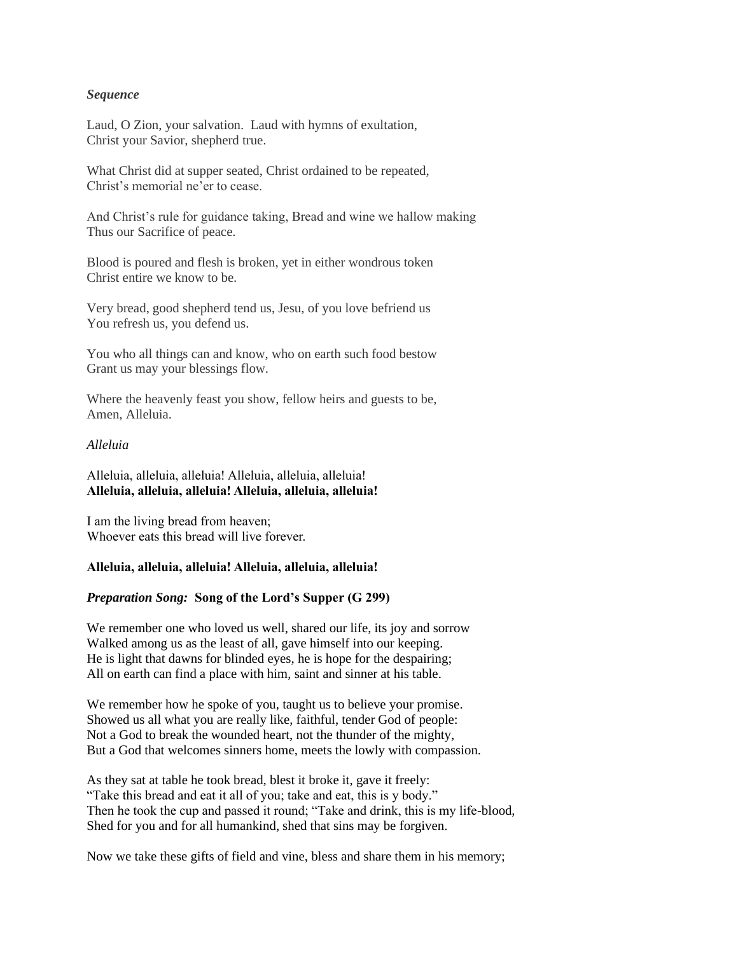#### *Sequence*

Laud, O Zion, your salvation. Laud with hymns of exultation, Christ your Savior, shepherd true.

What Christ did at supper seated, Christ ordained to be repeated, Christ's memorial ne'er to cease.

And Christ's rule for guidance taking, Bread and wine we hallow making Thus our Sacrifice of peace.

Blood is poured and flesh is broken, yet in either wondrous token Christ entire we know to be.

Very bread, good shepherd tend us, Jesu, of you love befriend us You refresh us, you defend us.

You who all things can and know, who on earth such food bestow Grant us may your blessings flow.

Where the heavenly feast you show, fellow heirs and guests to be, Amen, Alleluia.

#### *Alleluia*

## Alleluia, alleluia, alleluia! Alleluia, alleluia, alleluia! **Alleluia, alleluia, alleluia! Alleluia, alleluia, alleluia!**

I am the living bread from heaven; Whoever eats this bread will live forever.

#### **Alleluia, alleluia, alleluia! Alleluia, alleluia, alleluia!**

#### *Preparation Song:* **Song of the Lord's Supper (G 299)**

We remember one who loved us well, shared our life, its joy and sorrow Walked among us as the least of all, gave himself into our keeping. He is light that dawns for blinded eyes, he is hope for the despairing; All on earth can find a place with him, saint and sinner at his table.

We remember how he spoke of you, taught us to believe your promise. Showed us all what you are really like, faithful, tender God of people: Not a God to break the wounded heart, not the thunder of the mighty, But a God that welcomes sinners home, meets the lowly with compassion.

As they sat at table he took bread, blest it broke it, gave it freely: "Take this bread and eat it all of you; take and eat, this is y body." Then he took the cup and passed it round; "Take and drink, this is my life-blood, Shed for you and for all humankind, shed that sins may be forgiven.

Now we take these gifts of field and vine, bless and share them in his memory;